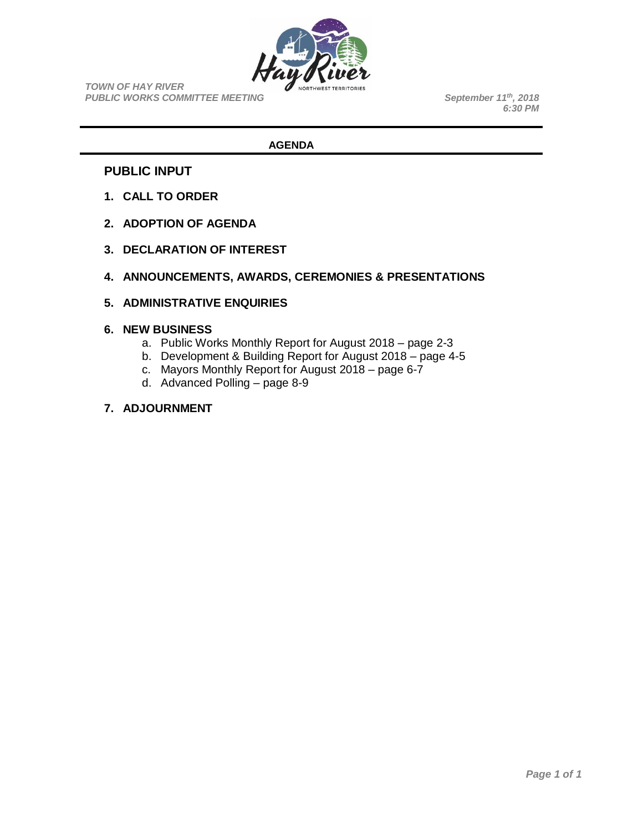

*TOWN OF HAY RIVER* **PUBLIC WORKS COMMITTEE MEETING** 

*, 2018 6:30 PM*

### **AGENDA**

### **PUBLIC INPUT**

- **1. CALL TO ORDER**
- **2. ADOPTION OF AGENDA**
- **3. DECLARATION OF INTEREST**
- **4. ANNOUNCEMENTS, AWARDS, CEREMONIES & PRESENTATIONS**
- **5. ADMINISTRATIVE ENQUIRIES**

#### **6. NEW BUSINESS**

- a. Public Works Monthly Report for August 2018 page 2-3
- b. Development & Building Report for August 2018 page 4-5
- c. Mayors Monthly Report for August 2018 page 6-7
- d. Advanced Polling page 8-9

### **7. ADJOURNMENT**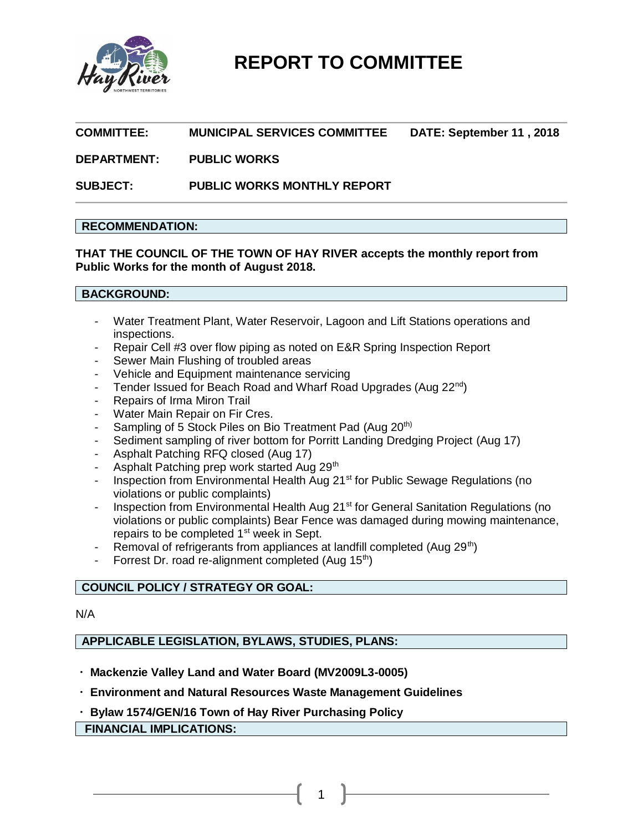

### **COMMITTEE: MUNICIPAL SERVICES COMMITTEE DATE: September 11 , 2018**

### **DEPARTMENT: PUBLIC WORKS**

**SUBJECT: PUBLIC WORKS MONTHLY REPORT**

### **RECOMMENDATION:**

**THAT THE COUNCIL OF THE TOWN OF HAY RIVER accepts the monthly report from Public Works for the month of August 2018.**

### **BACKGROUND:**

- Water Treatment Plant, Water Reservoir, Lagoon and Lift Stations operations and inspections.
- Repair Cell #3 over flow piping as noted on E&R Spring Inspection Report
- Sewer Main Flushing of troubled areas
- Vehicle and Equipment maintenance servicing
- Tender Issued for Beach Road and Wharf Road Upgrades (Aug 22<sup>nd</sup>)
- Repairs of Irma Miron Trail
- Water Main Repair on Fir Cres.
- Sampling of 5 Stock Piles on Bio Treatment Pad (Aug 20<sup>th)</sup>
- Sediment sampling of river bottom for Porritt Landing Dredging Project (Aug 17)
- Asphalt Patching RFQ closed (Aug 17)
- Asphalt Patching prep work started Aug 29th
- Inspection from Environmental Health Aug 21<sup>st</sup> for Public Sewage Regulations (no violations or public complaints)
- Inspection from Environmental Health Aug 21<sup>st</sup> for General Sanitation Regulations (no violations or public complaints) Bear Fence was damaged during mowing maintenance, repairs to be completed 1<sup>st</sup> week in Sept.
- Removal of refrigerants from appliances at landfill completed (Aug 29<sup>th</sup>)
- Forrest Dr. road re-alignment completed (Aug 15<sup>th</sup>)

### **COUNCIL POLICY / STRATEGY OR GOAL:**

N/A

### **APPLICABLE LEGISLATION, BYLAWS, STUDIES, PLANS:**

- **Mackenzie Valley Land and Water Board (MV2009L3-0005)**
- **Environment and Natural Resources Waste Management Guidelines**
- **Bylaw 1574/GEN/16 Town of Hay River Purchasing Policy**

### **FINANCIAL IMPLICATIONS:**

1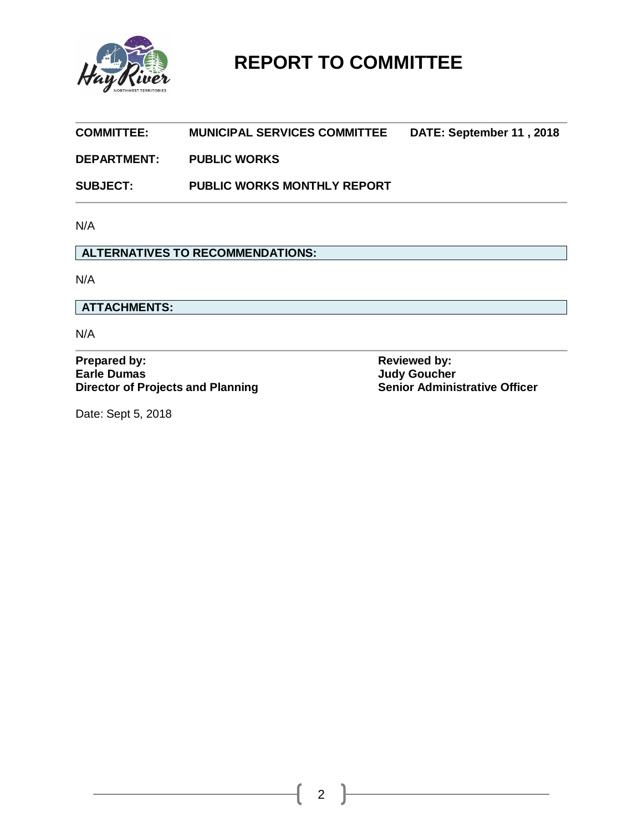

| <b>MUNICIPAL SERVICES COMMITTEE</b>      | DATE: September 11, 2018                                                           |
|------------------------------------------|------------------------------------------------------------------------------------|
| <b>PUBLIC WORKS</b>                      |                                                                                    |
| <b>PUBLIC WORKS MONTHLY REPORT</b>       |                                                                                    |
|                                          |                                                                                    |
| <b>ALTERNATIVES TO RECOMMENDATIONS:</b>  |                                                                                    |
|                                          |                                                                                    |
|                                          |                                                                                    |
|                                          |                                                                                    |
| <b>Director of Projects and Planning</b> | <b>Reviewed by:</b><br><b>Judy Goucher</b><br><b>Senior Administrative Officer</b> |
|                                          |                                                                                    |

Date: Sept 5, 2018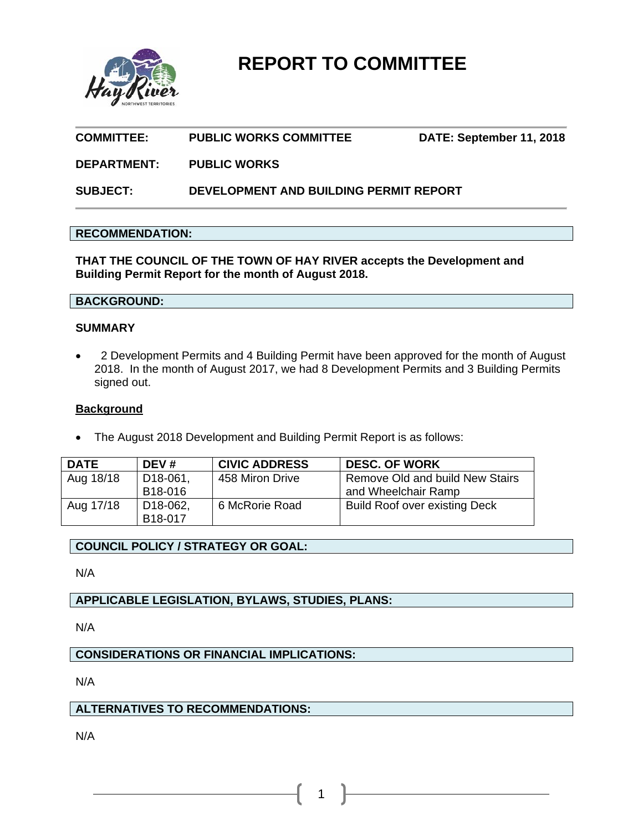

# **COMMITTEE: PUBLIC WORKS COMMITTEE DATE: September 11, 2018**

### **DEPARTMENT: PUBLIC WORKS**

**SUBJECT: DEVELOPMENT AND BUILDING PERMIT REPORT**

### **RECOMMENDATION:**

**THAT THE COUNCIL OF THE TOWN OF HAY RIVER accepts the Development and Building Permit Report for the month of August 2018.** 

### **BACKGROUND:**

### **SUMMARY**

• 2 Development Permits and 4 Building Permit have been approved for the month of August 2018. In the month of August 2017, we had 8 Development Permits and 3 Building Permits signed out.

### **Background**

The August 2018 Development and Building Permit Report is as follows:

| <b>DATE</b> | DEV#                  | <b>CIVIC ADDRESS</b> | <b>DESC. OF WORK</b>                 |
|-------------|-----------------------|----------------------|--------------------------------------|
| Aug 18/18   | D <sub>18</sub> -061, | 458 Miron Drive      | Remove Old and build New Stairs      |
|             | B <sub>18</sub> -016  |                      | and Wheelchair Ramp                  |
| Aug 17/18   | D <sub>18</sub> -062, | 6 McRorie Road       | <b>Build Roof over existing Deck</b> |
|             | B18-017               |                      |                                      |

1

### **COUNCIL POLICY / STRATEGY OR GOAL:**

N/A

### **APPLICABLE LEGISLATION, BYLAWS, STUDIES, PLANS:**

N/A

## **CONSIDERATIONS OR FINANCIAL IMPLICATIONS:**

N/A

### **ALTERNATIVES TO RECOMMENDATIONS:**

N/A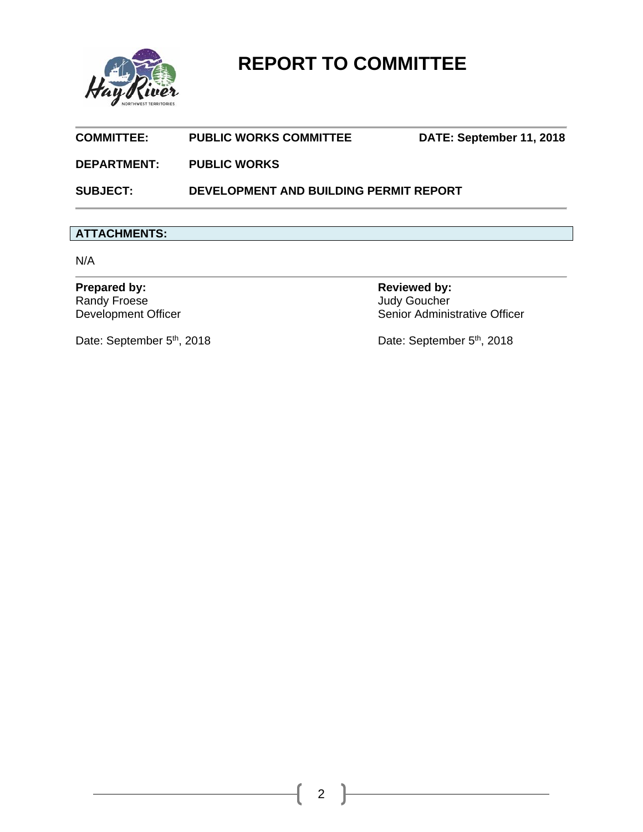

| <b>SUBJECT:</b>    | DEVELOPMENT AND BUILDING PERMIT REPORT |                          |
|--------------------|----------------------------------------|--------------------------|
| <b>DEPARTMENT:</b> | <b>PUBLIC WORKS</b>                    |                          |
| <b>COMMITTEE:</b>  | <b>PUBLIC WORKS COMMITTEE</b>          | DATE: September 11, 2018 |

# **ATTACHMENTS:**

N/A

Prepared by: **Reviewed by: Reviewed by: Reviewed by:** Randy Froese<br>Development Officer

Judy Goucher<br>Senior Administrative Officer

Date: September 5<sup>th</sup>, 2018 Date: September 5<sup>th</sup>, 2018

2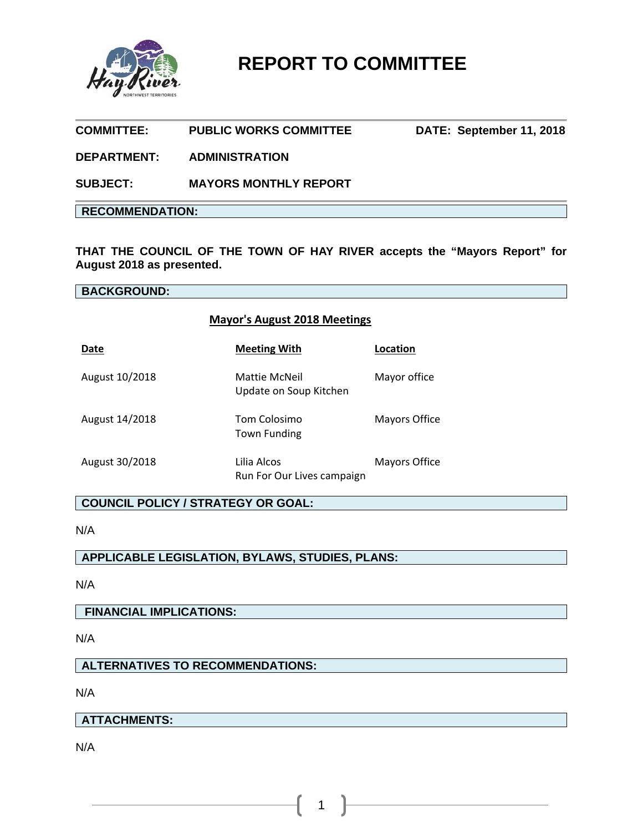

# **COMMITTEE: PUBLIC WORKS COMMITTEE DATE: September 11, 2018**

### **DEPARTMENT: ADMINISTRATION**

**SUBJECT: MAYORS MONTHLY REPORT** 

### **RECOMMENDATION:**

**THAT THE COUNCIL OF THE TOWN OF HAY RIVER accepts the "Mayors Report" for August 2018 as presented.** 

### **BACKGROUND:**

### **Mayor's August 2018 Meetings**

| Date           | <b>Meeting With</b>                       | Location             |
|----------------|-------------------------------------------|----------------------|
| August 10/2018 | Mattie McNeil<br>Update on Soup Kitchen   | Mayor office         |
| August 14/2018 | Tom Colosimo<br>Town Funding              | <b>Mayors Office</b> |
| August 30/2018 | Lilia Alcos<br>Run For Our Lives campaign | Mayors Office        |

### **COUNCIL POLICY / STRATEGY OR GOAL:**

N/A

# **APPLICABLE LEGISLATION, BYLAWS, STUDIES, PLANS:**

N/A

### **FINANCIAL IMPLICATIONS:**

N/A

### **ALTERNATIVES TO RECOMMENDATIONS:**

N/A

### **ATTACHMENTS:**

N/A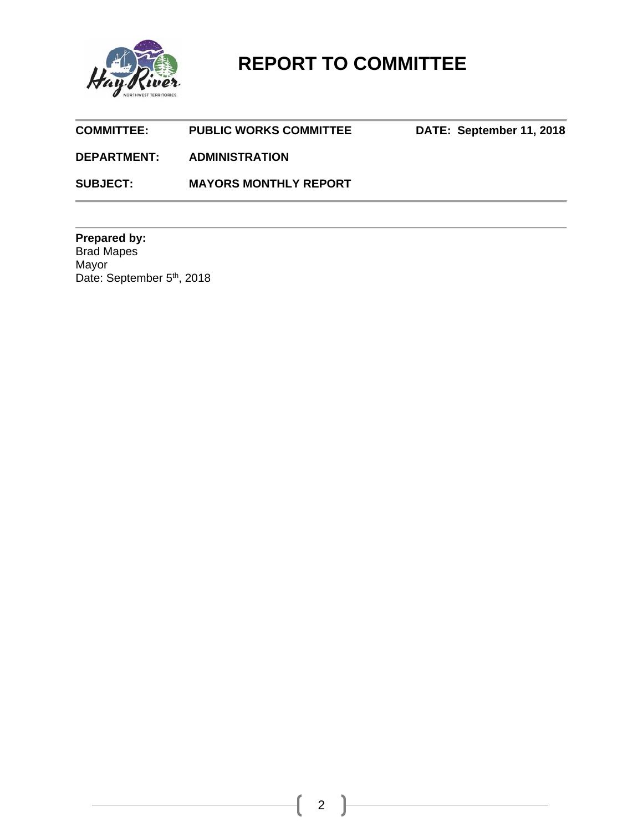

| <b>COMMITTEE:</b>  | <b>PUBLIC WORKS COMMITTEE</b> | DATE: September 11, 2018 |
|--------------------|-------------------------------|--------------------------|
| <b>DEPARTMENT:</b> | <b>ADMINISTRATION</b>         |                          |
| <b>SUBJECT:</b>    | <b>MAYORS MONTHLY REPORT</b>  |                          |

**Prepared by:**  Brad Mapes Mayor Date: September 5<sup>th</sup>, 2018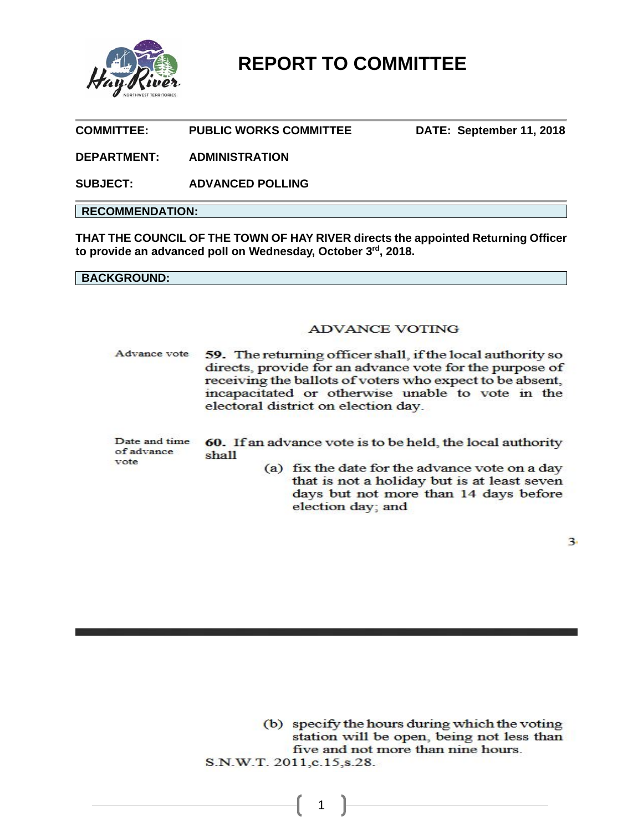

**COMMITTEE: PUBLIC WORKS COMMITTEE DATE: September 11, 2018** 

**DEPARTMENT: ADMINISTRATION**

**SUBJECT: ADVANCED POLLING** 

### **RECOMMENDATION:**

**THAT THE COUNCIL OF THE TOWN OF HAY RIVER directs the appointed Returning Officer to provide an advanced poll on Wednesday, October 3rd, 2018.** 

**BACKGROUND:** 

### **ADVANCE VOTING**

Advance vote 59. The returning officer shall, if the local authority so directs, provide for an advance vote for the purpose of receiving the ballots of voters who expect to be absent, incapacitated or otherwise unable to vote in the electoral district on election day.

| of advance | Date and time 60. If an advance vote is to be held, the local authority<br>shall |
|------------|----------------------------------------------------------------------------------|
| vote       | (a) fix the date for the advance vote on a day                                   |

that is not a holiday but is at least seven days but not more than 14 days before election day; and

 $\overline{3}$ 

(b) specify the hours during which the voting station will be open, being not less than five and not more than nine hours. S.N.W.T. 2011, c.15, s.28.

1